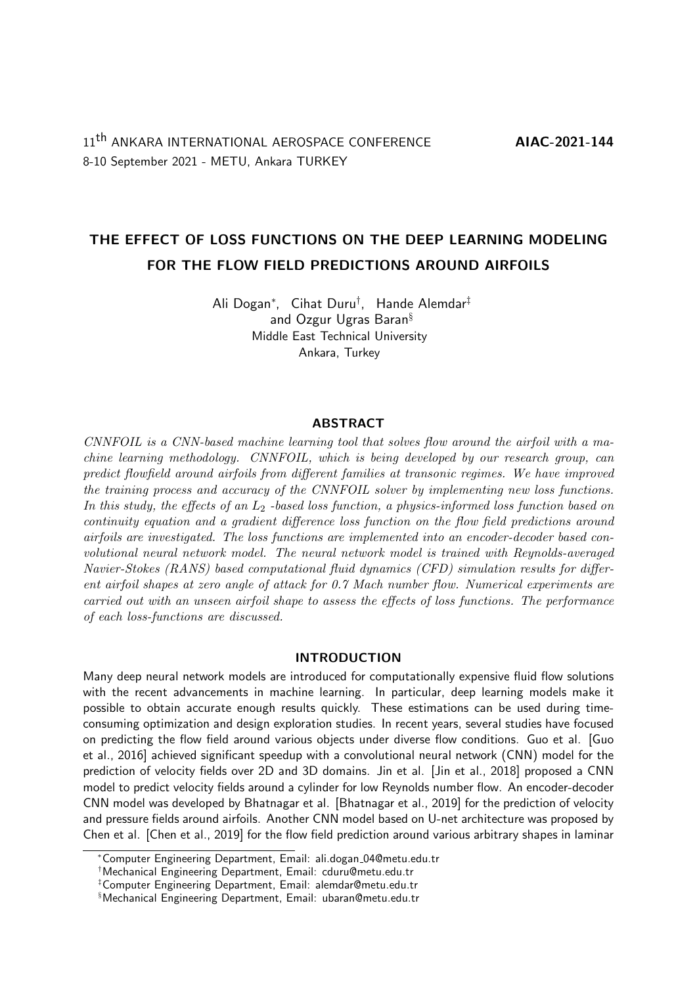# THE EFFECT OF LOSS FUNCTIONS ON THE DEEP LEARNING MODELING FOR THE FLOW FIELD PREDICTIONS AROUND AIRFOILS

Ali Dogan<sup>∗</sup> , Cihat Duru† , Hande Alemdar‡ and Ozgur Ugras Baran§ Middle East Technical University Ankara, Turkey

### ABSTRACT

CNNFOIL is a CNN-based machine learning tool that solves flow around the airfoil with a machine learning methodology. CNNFOIL, which is being developed by our research group, can predict flowfield around airfoils from different families at transonic regimes. We have improved the training process and accuracy of the CNNFOIL solver by implementing new loss functions. In this study, the effects of an  $L_2$ -based loss function, a physics-informed loss function based on continuity equation and a gradient difference loss function on the flow field predictions around airfoils are investigated. The loss functions are implemented into an encoder-decoder based convolutional neural network model. The neural network model is trained with Reynolds-averaged Navier-Stokes (RANS) based computational fluid dynamics (CFD) simulation results for different airfoil shapes at zero angle of attack for 0.7 Mach number flow. Numerical experiments are carried out with an unseen airfoil shape to assess the effects of loss functions. The performance of each loss-functions are discussed.

### INTRODUCTION

Many deep neural network models are introduced for computationally expensive fluid flow solutions with the recent advancements in machine learning. In particular, deep learning models make it possible to obtain accurate enough results quickly. These estimations can be used during timeconsuming optimization and design exploration studies. In recent years, several studies have focused on predicting the flow field around various objects under diverse flow conditions. Guo et al. [Guo et al., 2016] achieved significant speedup with a convolutional neural network (CNN) model for the prediction of velocity fields over 2D and 3D domains. Jin et al. [Jin et al., 2018] proposed a CNN model to predict velocity fields around a cylinder for low Reynolds number flow. An encoder-decoder CNN model was developed by Bhatnagar et al. [Bhatnagar et al., 2019] for the prediction of velocity and pressure fields around airfoils. Another CNN model based on U-net architecture was proposed by Chen et al. [Chen et al., 2019] for the flow field prediction around various arbitrary shapes in laminar

<sup>∗</sup>Computer Engineering Department, Email: ali.dogan 04@metu.edu.tr

<sup>†</sup>Mechanical Engineering Department, Email: cduru@metu.edu.tr

<sup>‡</sup>Computer Engineering Department, Email: alemdar@metu.edu.tr

<sup>§</sup>Mechanical Engineering Department, Email: ubaran@metu.edu.tr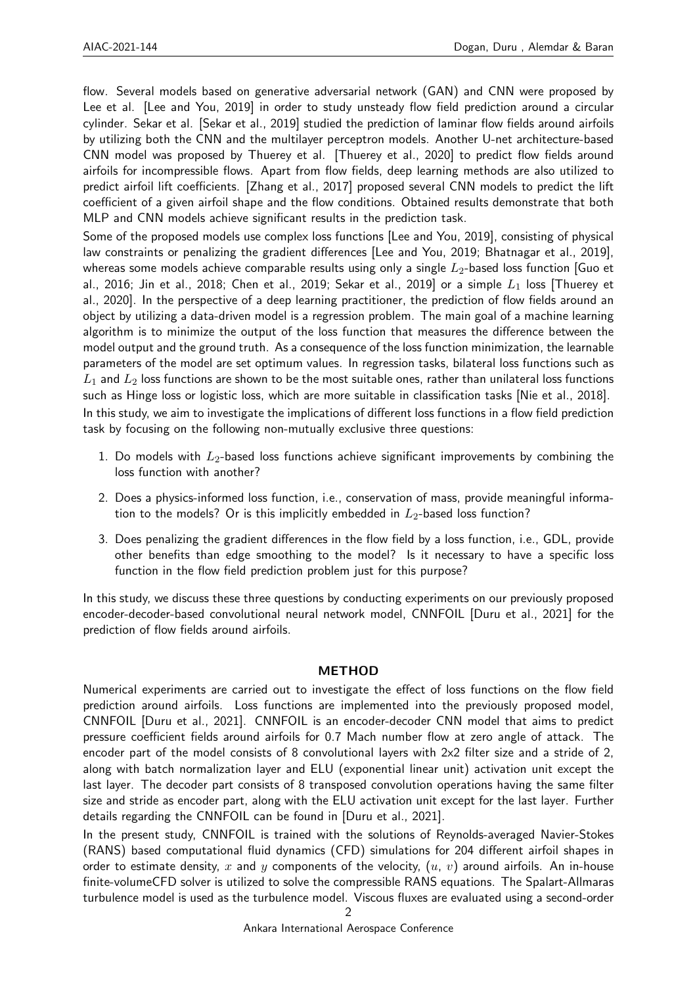flow. Several models based on generative adversarial network (GAN) and CNN were proposed by Lee et al. [Lee and You, 2019] in order to study unsteady flow field prediction around a circular cylinder. Sekar et al. [Sekar et al., 2019] studied the prediction of laminar flow fields around airfoils by utilizing both the CNN and the multilayer perceptron models. Another U-net architecture-based CNN model was proposed by Thuerey et al. [Thuerey et al., 2020] to predict flow fields around airfoils for incompressible flows. Apart from flow fields, deep learning methods are also utilized to predict airfoil lift coefficients. [Zhang et al., 2017] proposed several CNN models to predict the lift coefficient of a given airfoil shape and the flow conditions. Obtained results demonstrate that both MLP and CNN models achieve significant results in the prediction task.

Some of the proposed models use complex loss functions [Lee and You, 2019], consisting of physical law constraints or penalizing the gradient differences [Lee and You, 2019; Bhatnagar et al., 2019], whereas some models achieve comparable results using only a single  $L_2$ -based loss function [Guo et al., 2016; Jin et al., 2018; Chen et al., 2019; Sekar et al., 2019] or a simple  $L_1$  loss [Thuerey et al., 2020]. In the perspective of a deep learning practitioner, the prediction of flow fields around an object by utilizing a data-driven model is a regression problem. The main goal of a machine learning algorithm is to minimize the output of the loss function that measures the difference between the model output and the ground truth. As a consequence of the loss function minimization, the learnable parameters of the model are set optimum values. In regression tasks, bilateral loss functions such as  $L_1$  and  $L_2$  loss functions are shown to be the most suitable ones, rather than unilateral loss functions such as Hinge loss or logistic loss, which are more suitable in classification tasks [Nie et al., 2018]. In this study, we aim to investigate the implications of different loss functions in a flow field prediction task by focusing on the following non-mutually exclusive three questions:

- 1. Do models with  $L_2$ -based loss functions achieve significant improvements by combining the loss function with another?
- 2. Does a physics-informed loss function, i.e., conservation of mass, provide meaningful information to the models? Or is this implicitly embedded in  $L_2$ -based loss function?
- 3. Does penalizing the gradient differences in the flow field by a loss function, i.e., GDL, provide other benefits than edge smoothing to the model? Is it necessary to have a specific loss function in the flow field prediction problem just for this purpose?

In this study, we discuss these three questions by conducting experiments on our previously proposed encoder-decoder-based convolutional neural network model, CNNFOIL [Duru et al., 2021] for the prediction of flow fields around airfoils.

# METHOD

Numerical experiments are carried out to investigate the effect of loss functions on the flow field prediction around airfoils. Loss functions are implemented into the previously proposed model, CNNFOIL [Duru et al., 2021]. CNNFOIL is an encoder-decoder CNN model that aims to predict pressure coefficient fields around airfoils for 0.7 Mach number flow at zero angle of attack. The encoder part of the model consists of 8 convolutional layers with 2x2 filter size and a stride of 2, along with batch normalization layer and ELU (exponential linear unit) activation unit except the last layer. The decoder part consists of 8 transposed convolution operations having the same filter size and stride as encoder part, along with the ELU activation unit except for the last layer. Further details regarding the CNNFOIL can be found in [Duru et al., 2021].

In the present study, CNNFOIL is trained with the solutions of Reynolds-averaged Navier-Stokes (RANS) based computational fluid dynamics (CFD) simulations for 204 different airfoil shapes in order to estimate density, x and y components of the velocity,  $(u, v)$  around airfoils. An in-house finite-volumeCFD solver is utilized to solve the compressible RANS equations. The Spalart-Allmaras turbulence model is used as the turbulence model. Viscous fluxes are evaluated using a second-order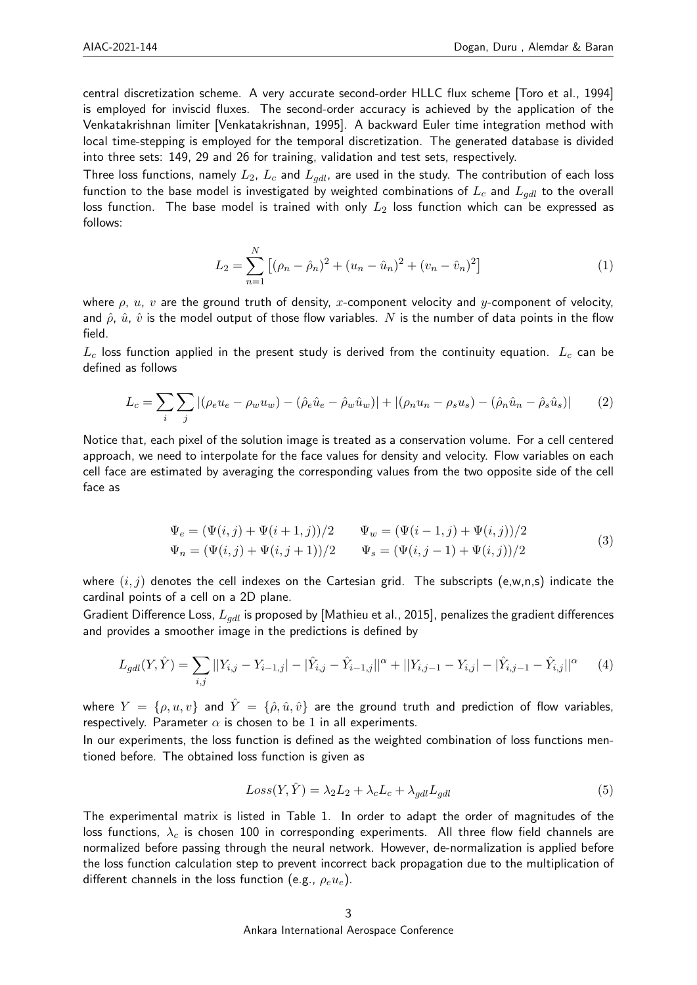central discretization scheme. A very accurate second-order HLLC flux scheme [Toro et al., 1994] is employed for inviscid fluxes. The second-order accuracy is achieved by the application of the Venkatakrishnan limiter [Venkatakrishnan, 1995]. A backward Euler time integration method with local time-stepping is employed for the temporal discretization. The generated database is divided into three sets: 149, 29 and 26 for training, validation and test sets, respectively.

Three loss functions, namely  $L_2$ ,  $L_c$  and  $L_{odd}$ , are used in the study. The contribution of each loss function to the base model is investigated by weighted combinations of  $L_c$  and  $L_{qdl}$  to the overall loss function. The base model is trained with only  $L_2$  loss function which can be expressed as follows:

$$
L_2 = \sum_{n=1}^{N} \left[ (\rho_n - \hat{\rho}_n)^2 + (u_n - \hat{u}_n)^2 + (v_n - \hat{v}_n)^2 \right]
$$
 (1)

where  $\rho$ , u, v are the ground truth of density, x-component velocity and y-component of velocity, and  $\hat{\rho}$ ,  $\hat{u}$ ,  $\hat{v}$  is the model output of those flow variables. N is the number of data points in the flow field.

 $L_c$  loss function applied in the present study is derived from the continuity equation.  $L_c$  can be defined as follows

$$
L_c = \sum_{i} \sum_{j} |(\rho_e u_e - \rho_w u_w) - (\hat{\rho}_e \hat{u}_e - \hat{\rho}_w \hat{u}_w)| + |(\rho_n u_n - \rho_s u_s) - (\hat{\rho}_n \hat{u}_n - \hat{\rho}_s \hat{u}_s)|
$$
(2)

Notice that, each pixel of the solution image is treated as a conservation volume. For a cell centered approach, we need to interpolate for the face values for density and velocity. Flow variables on each cell face are estimated by averaging the corresponding values from the two opposite side of the cell face as

$$
\Psi_e = (\Psi(i,j) + \Psi(i+1,j))/2 \qquad \Psi_w = (\Psi(i-1,j) + \Psi(i,j))/2 \n\Psi_n = (\Psi(i,j) + \Psi(i,j+1))/2 \qquad \Psi_s = (\Psi(i,j-1) + \Psi(i,j))/2
$$
\n(3)

where  $(i, j)$  denotes the cell indexes on the Cartesian grid. The subscripts (e,w,n,s) indicate the cardinal points of a cell on a 2D plane.

Gradient Difference Loss,  $L_{qdl}$  is proposed by [Mathieu et al., 2015], penalizes the gradient differences and provides a smoother image in the predictions is defined by

$$
L_{gdl}(Y,\hat{Y}) = \sum_{i,j} ||Y_{i,j} - Y_{i-1,j}|| - |\hat{Y}_{i,j} - \hat{Y}_{i-1,j}||^{\alpha} + ||Y_{i,j-1} - Y_{i,j}|| - |\hat{Y}_{i,j-1} - \hat{Y}_{i,j}||^{\alpha}
$$
 (4)

where  $Y = \{\rho, u, v\}$  and  $\hat{Y} = \{\hat{\rho}, \hat{u}, \hat{v}\}$  are the ground truth and prediction of flow variables, respectively. Parameter  $\alpha$  is chosen to be 1 in all experiments.

In our experiments, the loss function is defined as the weighted combination of loss functions mentioned before. The obtained loss function is given as

$$
Loss(Y, \hat{Y}) = \lambda_2 L_2 + \lambda_c L_c + \lambda_{gdl} L_{gdl}
$$
\n
$$
(5)
$$

The experimental matrix is listed in Table 1. In order to adapt the order of magnitudes of the loss functions,  $\lambda_c$  is chosen 100 in corresponding experiments. All three flow field channels are normalized before passing through the neural network. However, de-normalization is applied before the loss function calculation step to prevent incorrect back propagation due to the multiplication of different channels in the loss function (e.g.,  $\rho_e u_e$ ).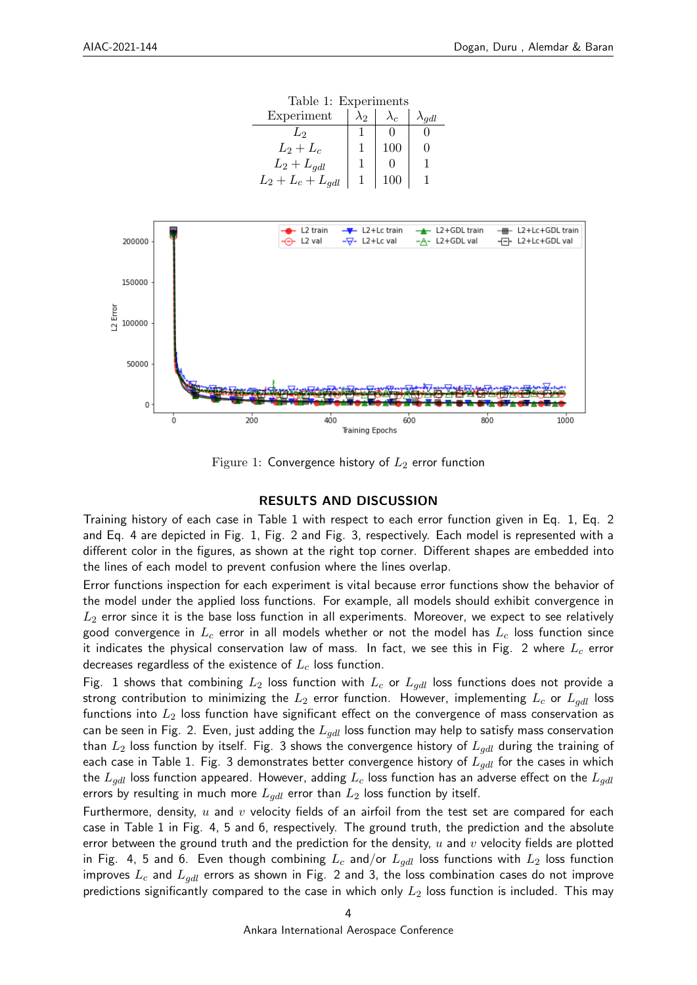| Table 1: Experiments           |             |     |  |
|--------------------------------|-------------|-----|--|
| Experiment                     | $\lambda_2$ |     |  |
| L۵                             |             |     |  |
| $L_2+L_c$                      |             | 100 |  |
| $L_2 + L_{qdl}$                |             |     |  |
| $L_2 + L_c + L_{\textit{adl}}$ |             |     |  |



Figure 1: Convergence history of  $L_2$  error function

#### RESULTS AND DISCUSSION

Training history of each case in Table 1 with respect to each error function given in Eq. 1, Eq. 2 and Eq. 4 are depicted in Fig. 1, Fig. 2 and Fig. 3, respectively. Each model is represented with a different color in the figures, as shown at the right top corner. Different shapes are embedded into the lines of each model to prevent confusion where the lines overlap.

Error functions inspection for each experiment is vital because error functions show the behavior of the model under the applied loss functions. For example, all models should exhibit convergence in  $L_2$  error since it is the base loss function in all experiments. Moreover, we expect to see relatively good convergence in  $L_c$  error in all models whether or not the model has  $L_c$  loss function since it indicates the physical conservation law of mass. In fact, we see this in Fig. 2 where  $L_c$  error decreases regardless of the existence of  $L_c$  loss function.

Fig. 1 shows that combining  $L_2$  loss function with  $L_c$  or  $L_{qdl}$  loss functions does not provide a strong contribution to minimizing the  $L_2$  error function. However, implementing  $L_c$  or  $L_{odd}$  loss functions into  $L_2$  loss function have significant effect on the convergence of mass conservation as can be seen in Fig. 2. Even, just adding the  $L_{\text{odd}}$  loss function may help to satisfy mass conservation than  $L_2$  loss function by itself. Fig. 3 shows the convergence history of  $L_{gdl}$  during the training of each case in Table 1. Fig. 3 demonstrates better convergence history of  $L_{qdl}$  for the cases in which the  $L_{gdl}$  loss function appeared. However, adding  $L_c$  loss function has an adverse effect on the  $L_{gdl}$ errors by resulting in much more  $L_{qdl}$  error than  $L_2$  loss function by itself.

Furthermore, density,  $u$  and  $v$  velocity fields of an airfoil from the test set are compared for each case in Table 1 in Fig. 4, 5 and 6, respectively. The ground truth, the prediction and the absolute error between the ground truth and the prediction for the density,  $u$  and  $v$  velocity fields are plotted in Fig. 4, 5 and 6. Even though combining  $L_c$  and/or  $L_{qdl}$  loss functions with  $L_2$  loss function improves  $L_c$  and  $L_{qdl}$  errors as shown in Fig. 2 and 3, the loss combination cases do not improve predictions significantly compared to the case in which only  $L_2$  loss function is included. This may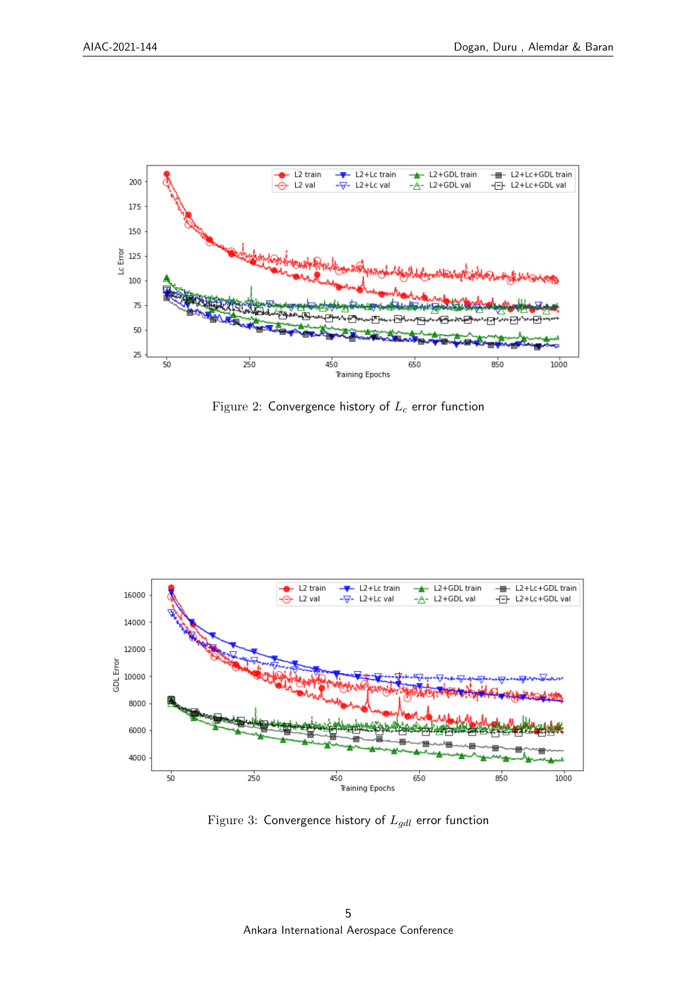

Figure 2: Convergence history of  $L_c$  error function



Figure 3: Convergence history of  $L_{gdl}$  error function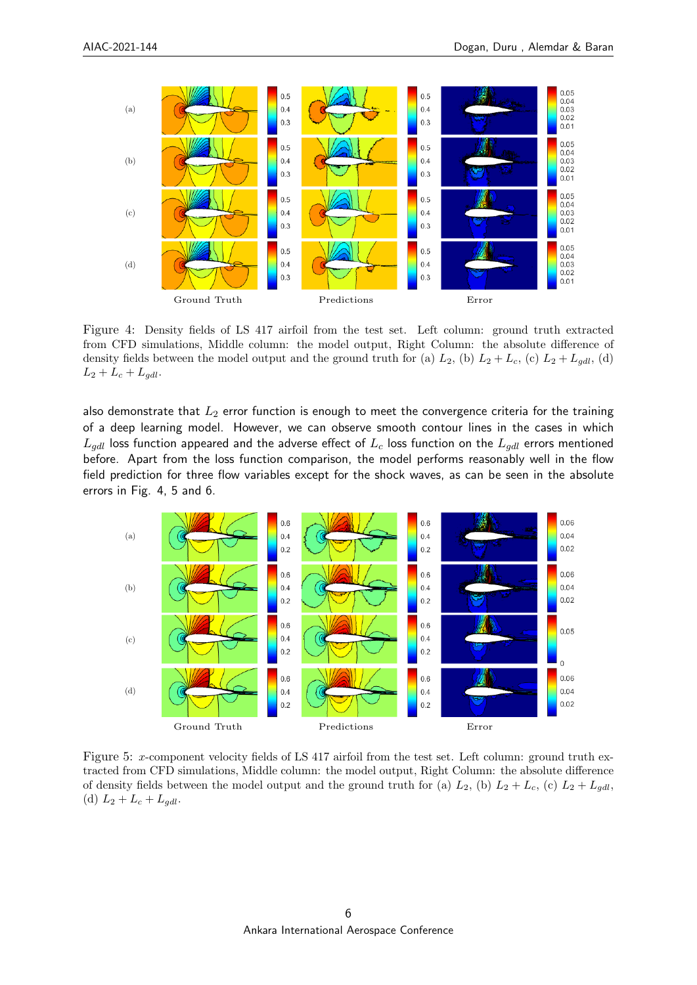

Figure 4: Density fields of LS 417 airfoil from the test set. Left column: ground truth extracted from CFD simulations, Middle column: the model output, Right Column: the absolute difference of density fields between the model output and the ground truth for (a)  $L_2$ , (b)  $L_2 + L_c$ , (c)  $L_2 + L_{gdl}$ , (d)  $L_2 + L_c + L_{gdl}.$ 

also demonstrate that  $L_2$  error function is enough to meet the convergence criteria for the training of a deep learning model. However, we can observe smooth contour lines in the cases in which  $L_{gdl}$  loss function appeared and the adverse effect of  $L_c$  loss function on the  $L_{gdl}$  errors mentioned before. Apart from the loss function comparison, the model performs reasonably well in the flow field prediction for three flow variables except for the shock waves, as can be seen in the absolute errors in Fig. 4, 5 and 6.



Figure 5: x-component velocity fields of LS 417 airfoil from the test set. Left column: ground truth extracted from CFD simulations, Middle column: the model output, Right Column: the absolute difference of density fields between the model output and the ground truth for (a)  $L_2$ , (b)  $L_2 + L_c$ , (c)  $L_2 + L_{gdl}$ , (d)  $L_2 + L_c + L_{qdl}$ .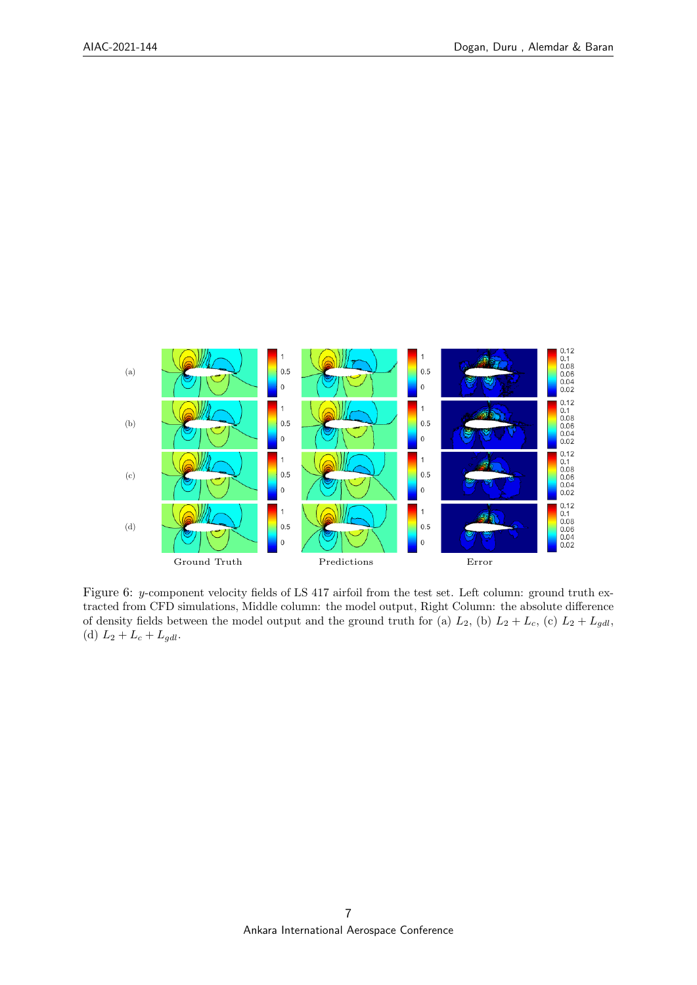

Figure 6: y-component velocity fields of LS 417 airfoil from the test set. Left column: ground truth extracted from CFD simulations, Middle column: the model output, Right Column: the absolute difference of density fields between the model output and the ground truth for (a)  $L_2$ , (b)  $L_2 + L_c$ , (c)  $L_2 + L_{gdl}$ , (d)  $L_2 + L_c + L_{gdl}$ .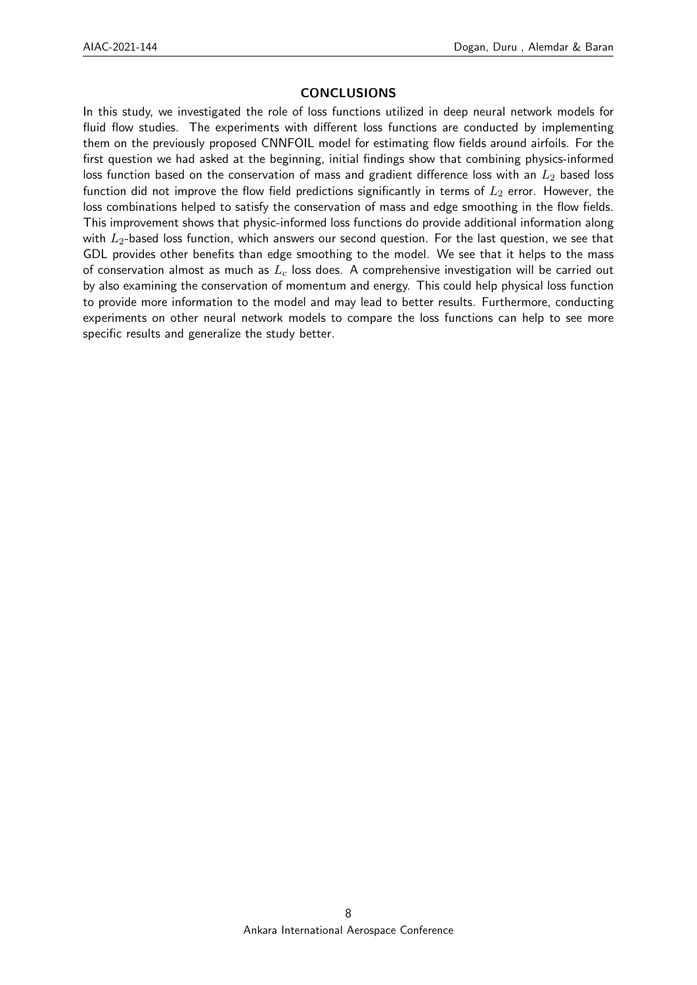# **CONCLUSIONS**

In this study, we investigated the role of loss functions utilized in deep neural network models for fluid flow studies. The experiments with different loss functions are conducted by implementing them on the previously proposed CNNFOIL model for estimating flow fields around airfoils. For the first question we had asked at the beginning, initial findings show that combining physics-informed loss function based on the conservation of mass and gradient difference loss with an  $L_2$  based loss function did not improve the flow field predictions significantly in terms of  $L_2$  error. However, the loss combinations helped to satisfy the conservation of mass and edge smoothing in the flow fields. This improvement shows that physic-informed loss functions do provide additional information along with  $L_2$ -based loss function, which answers our second question. For the last question, we see that GDL provides other benefits than edge smoothing to the model. We see that it helps to the mass of conservation almost as much as  $L_c$  loss does. A comprehensive investigation will be carried out by also examining the conservation of momentum and energy. This could help physical loss function to provide more information to the model and may lead to better results. Furthermore, conducting experiments on other neural network models to compare the loss functions can help to see more specific results and generalize the study better.